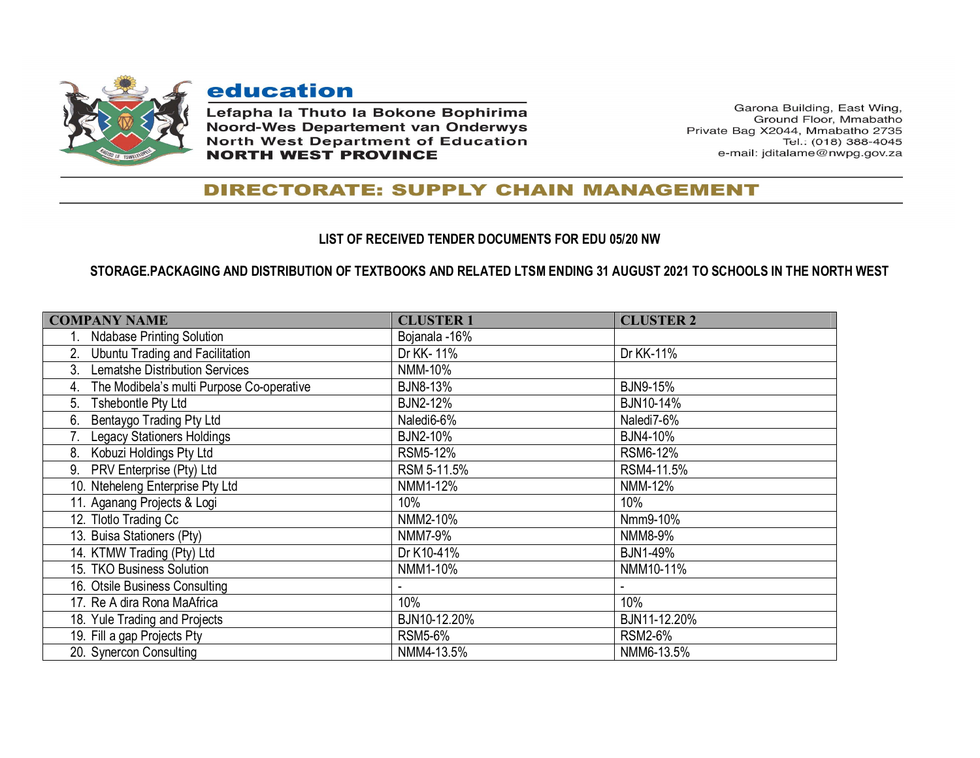

## education

Lefapha la Thuto la Bokone Bophirima **Noord-Wes Departement van Onderwys North West Department of Education NORTH WEST PROVINCE** 

Garona Building, East Wing, Ground Floor, Mmabatho Private Bag X2044, Mmabatho 2735 Tel.: (018) 388-4045 e-mail: jditalame@nwpg.gov.za

## **DIRECTORATE: SUPPLY CHAIN MANAGEMENT**

## **LIST OF RECEIVED TENDER DOCUMENTS FOR EDU 05/20 NW**

## **STORAGE.PACKAGING AND DISTRIBUTION OF TEXTBOOKS AND RELATED LTSM ENDING 31 AUGUST 2021 TO SCHOOLS IN THE NORTH WEST**

| <b>COMPANY NAME</b>                             | <b>CLUSTER 1</b> | <b>CLUSTER 2</b> |
|-------------------------------------------------|------------------|------------------|
| <b>Ndabase Printing Solution</b>                | Bojanala -16%    |                  |
| <b>Ubuntu Trading and Facilitation</b><br>2.    | Dr KK-11%        | Dr KK-11%        |
| <b>Lematshe Distribution Services</b><br>3.     | NMM-10%          |                  |
| The Modibela's multi Purpose Co-operative<br>4. | <b>BJN8-13%</b>  | <b>BJN9-15%</b>  |
| Tshebontle Pty Ltd<br>5.                        | <b>BJN2-12%</b>  | BJN10-14%        |
| Bentaygo Trading Pty Ltd<br>6.                  | Naledi6-6%       | Naledi7-6%       |
| <b>Legacy Stationers Holdings</b>               | <b>BJN2-10%</b>  | <b>BJN4-10%</b>  |
| Kobuzi Holdings Pty Ltd<br>8.                   | RSM5-12%         | RSM6-12%         |
| PRV Enterprise (Pty) Ltd<br>9.                  | RSM 5-11.5%      | RSM4-11.5%       |
| 10. Nteheleng Enterprise Pty Ltd                | NMM1-12%         | NMM-12%          |
| 11. Aganang Projects & Logi                     | 10%              | 10%              |
| 12. Tlotlo Trading Cc                           | NMM2-10%         | Nmm9-10%         |
| 13. Buisa Stationers (Pty)                      | NMM7-9%          | NMM8-9%          |
| 14. KTMW Trading (Pty) Ltd                      | Dr K10-41%       | <b>BJN1-49%</b>  |
| 15. TKO Business Solution                       | NMM1-10%         | NMM10-11%        |
| 16. Otsile Business Consulting                  |                  |                  |
| 17. Re A dira Rona MaAfrica                     | 10%              | 10%              |
| 18. Yule Trading and Projects                   | BJN10-12.20%     | BJN11-12.20%     |
| 19. Fill a gap Projects Pty                     | <b>RSM5-6%</b>   | <b>RSM2-6%</b>   |
| 20. Synercon Consulting                         | NMM4-13.5%       | NMM6-13.5%       |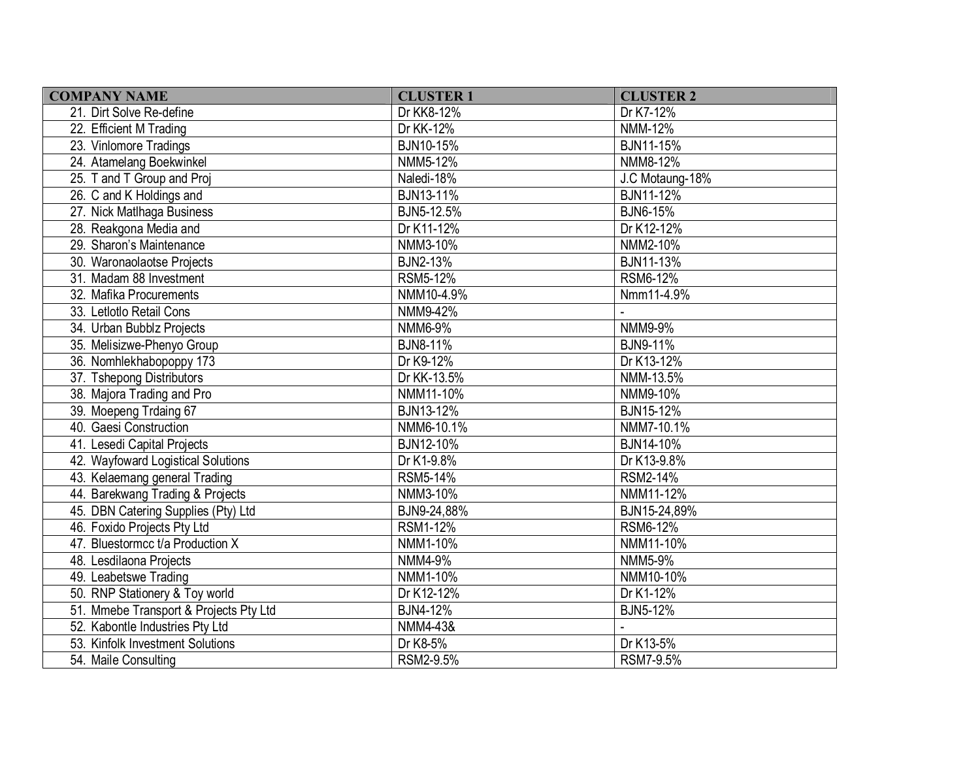| <b>COMPANY NAME</b>                    | <b>CLUSTER 1</b> | <b>CLUSTER 2</b> |  |
|----------------------------------------|------------------|------------------|--|
| 21. Dirt Solve Re-define               | Dr KK8-12%       | Dr K7-12%        |  |
| 22. Efficient M Trading                | Dr KK-12%        | NMM-12%          |  |
| 23. Vinlomore Tradings                 | BJN10-15%        | BJN11-15%        |  |
| 24. Atamelang Boekwinkel               | NMM5-12%         | NMM8-12%         |  |
| 25. T and T Group and Proj             | Naledi-18%       | J.C Motaung-18%  |  |
| 26. C and K Holdings and               | BJN13-11%        | BJN11-12%        |  |
| 27. Nick Matlhaga Business             | BJN5-12.5%       | <b>BJN6-15%</b>  |  |
| 28. Reakgona Media and                 | Dr K11-12%       | Dr K12-12%       |  |
| 29. Sharon's Maintenance               | NMM3-10%         | NMM2-10%         |  |
| 30. Waronaolaotse Projects             | <b>BJN2-13%</b>  | BJN11-13%        |  |
| 31. Madam 88 Investment                | RSM5-12%         | RSM6-12%         |  |
| 32. Mafika Procurements                | NMM10-4.9%       | Nmm11-4.9%       |  |
| 33. Letlotlo Retail Cons               | NMM9-42%         |                  |  |
| 34. Urban Bubblz Projects              | NMM6-9%          | NMM9-9%          |  |
| 35. Melisizwe-Phenyo Group             | BJN8-11%         | <b>BJN9-11%</b>  |  |
| 36. Nomhlekhabopoppy 173               | Dr K9-12%        | Dr K13-12%       |  |
| 37. Tshepong Distributors              | Dr KK-13.5%      | NMM-13.5%        |  |
| 38. Majora Trading and Pro             | NMM11-10%        | NMM9-10%         |  |
| 39. Moepeng Trdaing 67                 | BJN13-12%        | <b>BJN15-12%</b> |  |
| 40. Gaesi Construction                 | NMM6-10.1%       | NMM7-10.1%       |  |
| 41. Lesedi Capital Projects            | BJN12-10%        | BJN14-10%        |  |
| 42. Wayfoward Logistical Solutions     | Dr K1-9.8%       | Dr K13-9.8%      |  |
| 43. Kelaemang general Trading          | RSM5-14%         | RSM2-14%         |  |
| 44. Barekwang Trading & Projects       | NMM3-10%         | NMM11-12%        |  |
| 45. DBN Catering Supplies (Pty) Ltd    | BJN9-24,88%      | BJN15-24,89%     |  |
| 46. Foxido Projects Pty Ltd            | RSM1-12%         | RSM6-12%         |  |
| 47. Bluestormcc t/a Production X       | NMM1-10%         | NMM11-10%        |  |
| 48. Lesdilaona Projects                | NMM4-9%          | NMM5-9%          |  |
| 49. Leabetswe Trading                  | NMM1-10%         | NMM10-10%        |  |
| 50. RNP Stationery & Toy world         | Dr K12-12%       | Dr K1-12%        |  |
| 51. Mmebe Transport & Projects Pty Ltd | <b>BJN4-12%</b>  | <b>BJN5-12%</b>  |  |
| 52. Kabontle Industries Pty Ltd        | NMM4-43&         |                  |  |
| 53. Kinfolk Investment Solutions       | Dr K8-5%         | Dr K13-5%        |  |
| 54. Maile Consulting                   | RSM2-9.5%        | RSM7-9.5%        |  |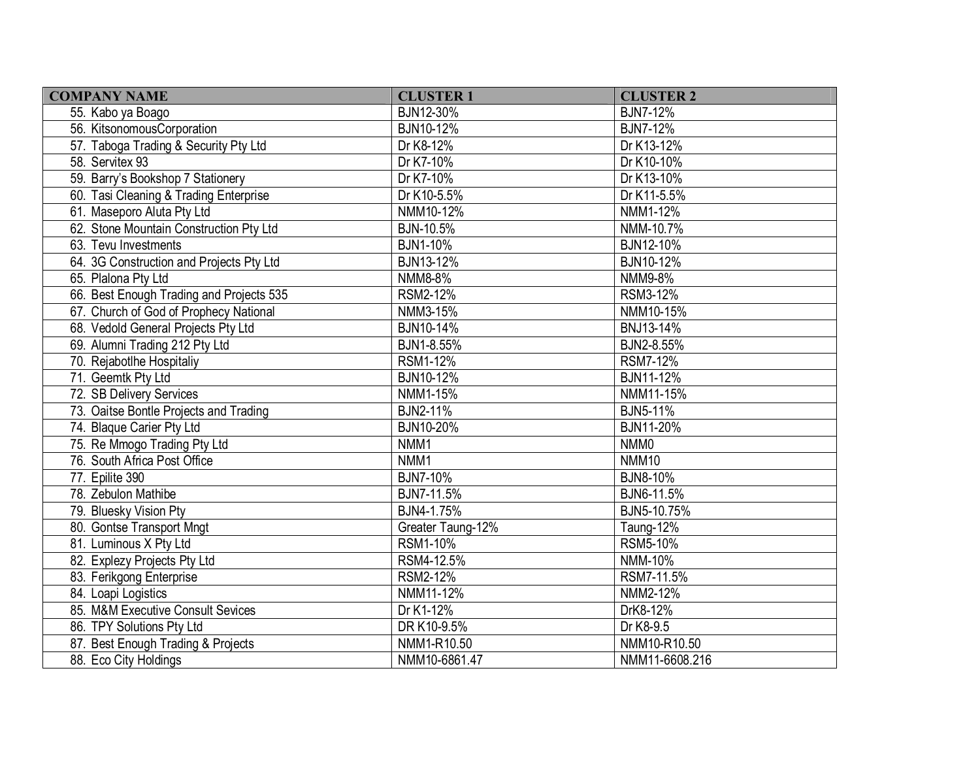| <b>COMPANY NAME</b>                      | <b>CLUSTER 1</b>  | <b>CLUSTER 2</b> |  |
|------------------------------------------|-------------------|------------------|--|
| 55. Kabo ya Boago                        | BJN12-30%         | <b>BJN7-12%</b>  |  |
| 56. KitsonomousCorporation               | BJN10-12%         | <b>BJN7-12%</b>  |  |
| 57. Taboga Trading & Security Pty Ltd    | Dr K8-12%         | Dr K13-12%       |  |
| 58. Servitex 93                          | Dr K7-10%         | Dr K10-10%       |  |
| 59. Barry's Bookshop 7 Stationery        | Dr K7-10%         | Dr K13-10%       |  |
| 60. Tasi Cleaning & Trading Enterprise   | Dr K10-5.5%       | Dr K11-5.5%      |  |
| 61. Maseporo Aluta Pty Ltd               | NMM10-12%         | NMM1-12%         |  |
| 62. Stone Mountain Construction Pty Ltd  | BJN-10.5%         | NMM-10.7%        |  |
| 63. Tevu Investments                     | <b>BJN1-10%</b>   | BJN12-10%        |  |
| 64. 3G Construction and Projects Pty Ltd | BJN13-12%         | BJN10-12%        |  |
| 65. Plalona Pty Ltd                      | NMM8-8%           | NMM9-8%          |  |
| 66. Best Enough Trading and Projects 535 | RSM2-12%          | <b>RSM3-12%</b>  |  |
| 67. Church of God of Prophecy National   | NMM3-15%          | NMM10-15%        |  |
| 68. Vedold General Projects Pty Ltd      | BJN10-14%         | BNJ13-14%        |  |
| 69. Alumni Trading 212 Pty Ltd           | BJN1-8.55%        | BJN2-8.55%       |  |
| 70. Rejabotlhe Hospitaliy                | RSM1-12%          | RSM7-12%         |  |
| 71. Geemtk Pty Ltd                       | BJN10-12%         | BJN11-12%        |  |
| 72. SB Delivery Services                 | NMM1-15%          | NMM11-15%        |  |
| 73. Oaitse Bontle Projects and Trading   | <b>BJN2-11%</b>   | <b>BJN5-11%</b>  |  |
| 74. Blaque Carier Pty Ltd                | BJN10-20%         | BJN11-20%        |  |
| 75. Re Mmogo Trading Pty Ltd             | NMM1              | NMM <sub>0</sub> |  |
| 76. South Africa Post Office             | NMM1              | <b>NMM10</b>     |  |
| 77. Epilite 390                          | <b>BJN7-10%</b>   | BJN8-10%         |  |
| 78. Zebulon Mathibe                      | BJN7-11.5%        | BJN6-11.5%       |  |
| 79. Bluesky Vision Pty                   | BJN4-1.75%        | BJN5-10.75%      |  |
| 80. Gontse Transport Mngt                | Greater Taung-12% | Taung-12%        |  |
| 81. Luminous X Pty Ltd                   | RSM1-10%          | RSM5-10%         |  |
| 82. Explezy Projects Pty Ltd             | RSM4-12.5%        | NMM-10%          |  |
| 83. Ferikgong Enterprise                 | RSM2-12%          | RSM7-11.5%       |  |
| 84. Loapi Logistics                      | NMM11-12%         | NMM2-12%         |  |
| 85. M&M Executive Consult Sevices        | Dr K1-12%         | DrK8-12%         |  |
| 86. TPY Solutions Pty Ltd                | DR K10-9.5%       | Dr K8-9.5        |  |
| 87. Best Enough Trading & Projects       | NMM1-R10.50       | NMM10-R10.50     |  |
| 88. Eco City Holdings                    | NMM10-6861.47     | NMM11-6608.216   |  |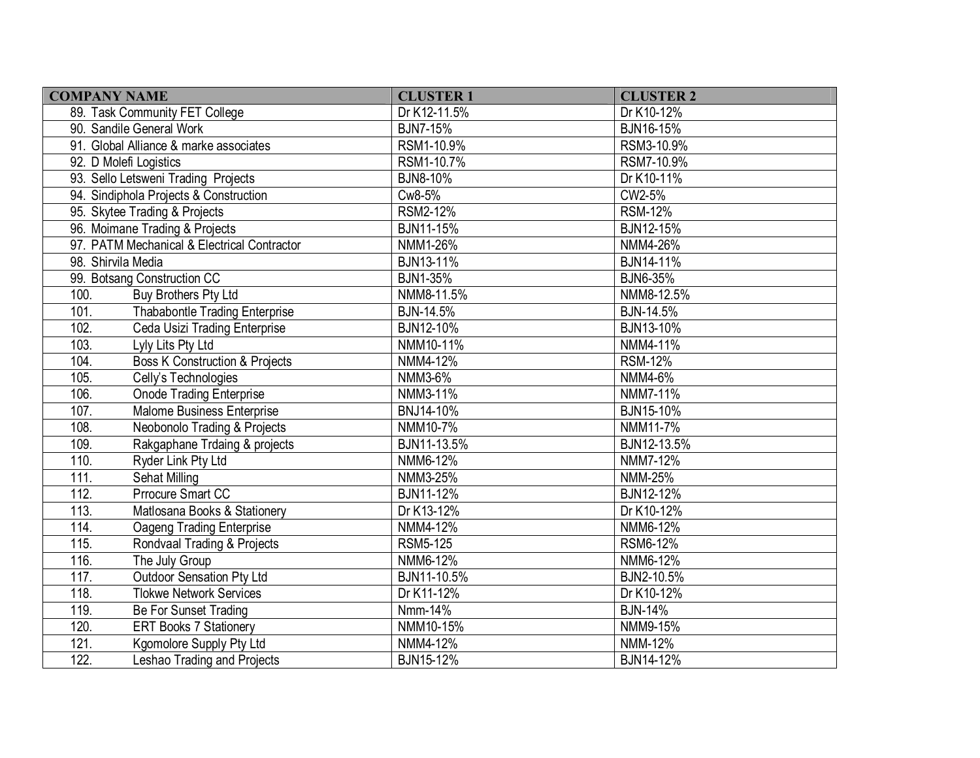| <b>COMPANY NAME</b>                               | <b>CLUSTER 1</b> | <b>CLUSTER 2</b> |
|---------------------------------------------------|------------------|------------------|
| 89. Task Community FET College                    | Dr K12-11.5%     | Dr K10-12%       |
| 90. Sandile General Work                          | <b>BJN7-15%</b>  | BJN16-15%        |
| 91. Global Alliance & marke associates            | RSM1-10.9%       | RSM3-10.9%       |
| 92. D Molefi Logistics                            | RSM1-10.7%       | RSM7-10.9%       |
| 93. Sello Letsweni Trading Projects               | <b>BJN8-10%</b>  | Dr K10-11%       |
| 94. Sindiphola Projects & Construction            | Cw8-5%           | CW2-5%           |
| 95. Skytee Trading & Projects                     | RSM2-12%         | <b>RSM-12%</b>   |
| 96. Moimane Trading & Projects                    | BJN11-15%        | BJN12-15%        |
| 97. PATM Mechanical & Electrical Contractor       | NMM1-26%         | NMM4-26%         |
| 98. Shirvila Media                                | BJN13-11%        | BJN14-11%        |
| 99. Botsang Construction CC                       | <b>BJN1-35%</b>  | <b>BJN6-35%</b>  |
| 100.<br>Buy Brothers Pty Ltd                      | NMM8-11.5%       | NMM8-12.5%       |
| 101.<br>Thababontle Trading Enterprise            | BJN-14.5%        | <b>BJN-14.5%</b> |
| 102.<br>Ceda Usizi Trading Enterprise             | BJN12-10%        | BJN13-10%        |
| 103.<br>Lyly Lits Pty Ltd                         | NMM10-11%        | NMM4-11%         |
| 104.<br><b>Boss K Construction &amp; Projects</b> | NMM4-12%         | <b>RSM-12%</b>   |
| 105.<br>Celly's Technologies                      | NMM3-6%          | NMM4-6%          |
| 106.<br><b>Onode Trading Enterprise</b>           | NMM3-11%         | NMM7-11%         |
| 107.<br>Malome Business Enterprise                | BNJ14-10%        | BJN15-10%        |
| 108.<br>Neobonolo Trading & Projects              | NMM10-7%         | NMM11-7%         |
| 109.<br>Rakgaphane Trdaing & projects             | BJN11-13.5%      | BJN12-13.5%      |
| 110.<br>Ryder Link Pty Ltd                        | NMM6-12%         | NMM7-12%         |
| 111.<br>Sehat Milling                             | NMM3-25%         | NMM-25%          |
| 112.<br>Prrocure Smart CC                         | BJN11-12%        | BJN12-12%        |
| 113.<br>Matlosana Books & Stationery              | Dr K13-12%       | Dr K10-12%       |
| 114.<br>Oageng Trading Enterprise                 | NMM4-12%         | NMM6-12%         |
| 115.<br>Rondvaal Trading & Projects               | <b>RSM5-125</b>  | RSM6-12%         |
| 116.<br>The July Group                            | NMM6-12%         | NMM6-12%         |
| 117.<br><b>Outdoor Sensation Pty Ltd</b>          | BJN11-10.5%      | BJN2-10.5%       |
| 118.<br><b>Tlokwe Network Services</b>            | Dr K11-12%       | Dr K10-12%       |
| 119.<br>Be For Sunset Trading                     | Nmm-14%          | <b>BJN-14%</b>   |
| 120.<br><b>ERT Books 7 Stationery</b>             | NMM10-15%        | NMM9-15%         |
| 121.<br>Kgomolore Supply Pty Ltd                  | NMM4-12%         | <b>NMM-12%</b>   |
| 122.<br>Leshao Trading and Projects               | BJN15-12%        | BJN14-12%        |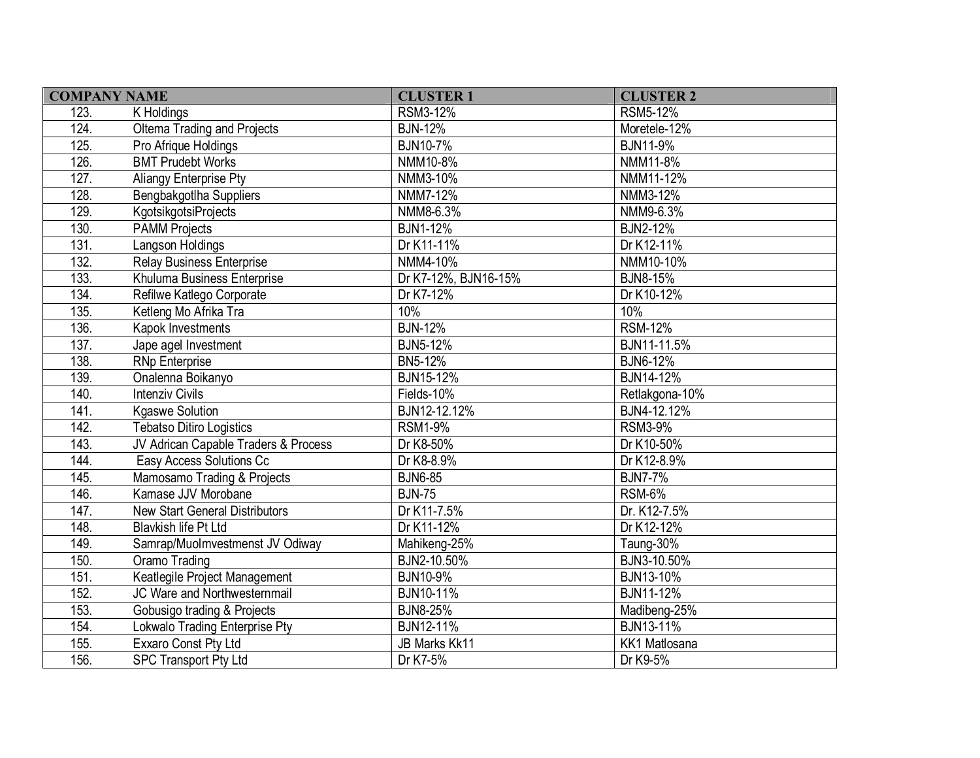| <b>COMPANY NAME</b> |                                       | <b>CLUSTER 1</b>     | <b>CLUSTER 2</b> |  |
|---------------------|---------------------------------------|----------------------|------------------|--|
| 123.                | K Holdings                            | RSM3-12%             | <b>RSM5-12%</b>  |  |
| 124.                | Oltema Trading and Projects           | <b>BJN-12%</b>       | Moretele-12%     |  |
| 125.                | Pro Afrique Holdings                  | <b>BJN10-7%</b>      | <b>BJN11-9%</b>  |  |
| 126.                | <b>BMT Prudebt Works</b>              | NMM10-8%             | NMM11-8%         |  |
| 127.                | Aliangy Enterprise Pty                | NMM3-10%             | NMM11-12%        |  |
| 128.                | Bengbakgotlha Suppliers               | NMM7-12%             | NMM3-12%         |  |
| 129.                | KgotsikgotsiProjects                  | NMM8-6.3%            | NMM9-6.3%        |  |
| 130.                | <b>PAMM Projects</b>                  | <b>BJN1-12%</b>      | <b>BJN2-12%</b>  |  |
| 131.                | Langson Holdings                      | Dr K11-11%           | Dr K12-11%       |  |
| 132.                | <b>Relay Business Enterprise</b>      | NMM4-10%             | NMM10-10%        |  |
| 133.                | Khuluma Business Enterprise           | Dr K7-12%, BJN16-15% | <b>BJN8-15%</b>  |  |
| 134.                | Refilwe Katlego Corporate             | Dr K7-12%            | Dr K10-12%       |  |
| 135.                | Ketleng Mo Afrika Tra                 | 10%                  | 10%              |  |
| 136.                | Kapok Investments                     | <b>BJN-12%</b>       | <b>RSM-12%</b>   |  |
| 137.                | Jape agel Investment                  | <b>BJN5-12%</b>      | BJN11-11.5%      |  |
| 138.                | <b>RNp Enterprise</b>                 | BN5-12%              | BJN6-12%         |  |
| 139.                | Onalenna Boikanyo                     | BJN15-12%            | BJN14-12%        |  |
| 140.                | <b>Intenziv Civils</b>                | Fields-10%           | Retlakgona-10%   |  |
| 141.                | <b>Kgaswe Solution</b>                | BJN12-12.12%         | BJN4-12.12%      |  |
| 142.                | <b>Tebatso Ditiro Logistics</b>       | <b>RSM1-9%</b>       | <b>RSM3-9%</b>   |  |
| 143.                | JV Adrican Capable Traders & Process  | Dr K8-50%            | Dr K10-50%       |  |
| 144.                | Easy Access Solutions Cc              | Dr K8-8.9%           | Dr K12-8.9%      |  |
| 145.                | Mamosamo Trading & Projects           | <b>BJN6-85</b>       | <b>BJN7-7%</b>   |  |
| 146.                | Kamase JJV Morobane                   | <b>BJN-75</b>        | <b>RSM-6%</b>    |  |
| 147.                | <b>New Start General Distributors</b> | Dr K11-7.5%          | Dr. K12-7.5%     |  |
| 148.                | Blavkish life Pt Ltd                  | Dr K11-12%           | Dr K12-12%       |  |
| 149.                | Samrap/Muolmvestmenst JV Odiway       | Mahikeng-25%         | Taung-30%        |  |
| 150.                | Oramo Trading                         | BJN2-10.50%          | BJN3-10.50%      |  |
| 151.                | Keatlegile Project Management         | BJN10-9%             | BJN13-10%        |  |
| 152.                | JC Ware and Northwesternmail          | BJN10-11%            | BJN11-12%        |  |
| 153.                | Gobusigo trading & Projects           | <b>BJN8-25%</b>      | Madibeng-25%     |  |
| 154.                | Lokwalo Trading Enterprise Pty        | BJN12-11%            | BJN13-11%        |  |
| 155.                | Exxaro Const Pty Ltd                  | JB Marks Kk11        | KK1 Matlosana    |  |
| 156.                | <b>SPC Transport Pty Ltd</b>          | Dr K7-5%             | Dr K9-5%         |  |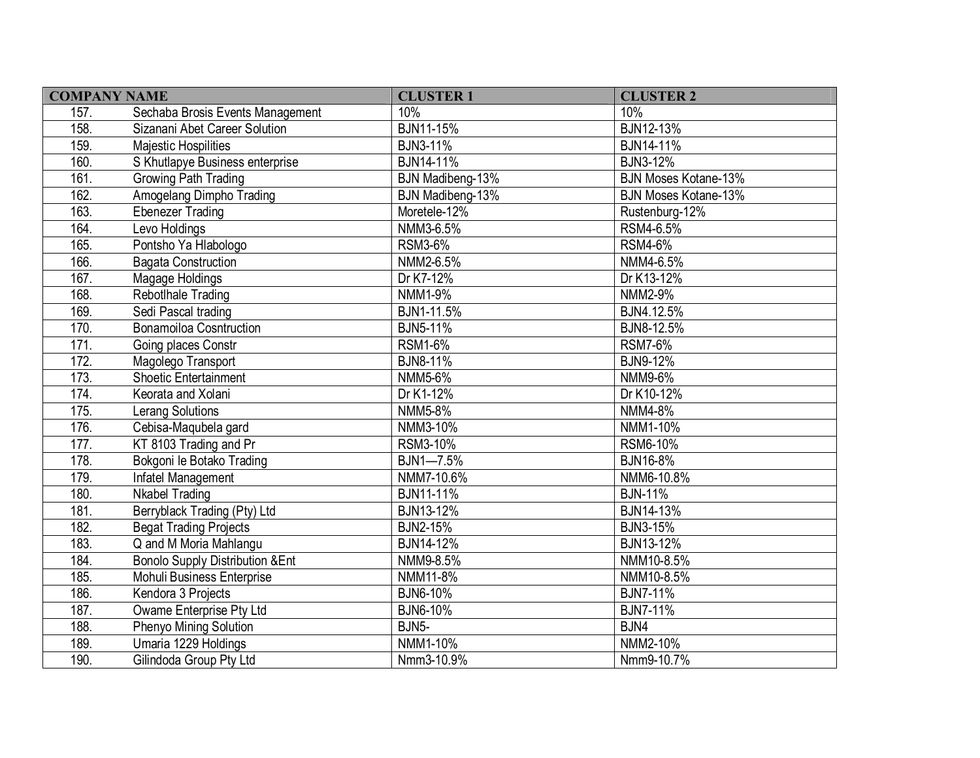| <b>COMPANY NAME</b> |                                            | <b>CLUSTER 1</b>   | <b>CLUSTER 2</b>            |
|---------------------|--------------------------------------------|--------------------|-----------------------------|
| 157.                | Sechaba Brosis Events Management           | 10%                | 10%                         |
| 158.                | Sizanani Abet Career Solution              | BJN11-15%          | BJN12-13%                   |
| 159.                | <b>Majestic Hospilities</b>                | <b>BJN3-11%</b>    | BJN14-11%                   |
| 160.                | S Khutlapye Business enterprise            | BJN14-11%          | <b>BJN3-12%</b>             |
| 161.                | Growing Path Trading                       | BJN Madibeng-13%   | <b>BJN Moses Kotane-13%</b> |
| 162.                | Amogelang Dimpho Trading                   | BJN Madibeng-13%   | <b>BJN Moses Kotane-13%</b> |
| 163.                | <b>Ebenezer Trading</b>                    | Moretele-12%       | Rustenburg-12%              |
| 164.                | Levo Holdings                              | NMM3-6.5%          | RSM4-6.5%                   |
| 165.                | Pontsho Ya Hlabologo                       | <b>RSM3-6%</b>     | <b>RSM4-6%</b>              |
| 166.                | <b>Bagata Construction</b>                 | NMM2-6.5%          | NMM4-6.5%                   |
| 167.                | Magage Holdings                            | Dr K7-12%          | Dr K13-12%                  |
| 168.                | Rebotlhale Trading                         | NMM1-9%            | NMM2-9%                     |
| 169.                | Sedi Pascal trading                        | BJN1-11.5%         | BJN4.12.5%                  |
| 170.                | <b>Bonamoiloa Cosntruction</b>             | <b>BJN5-11%</b>    | BJN8-12.5%                  |
| 171.                | Going places Constr                        | <b>RSM1-6%</b>     | <b>RSM7-6%</b>              |
| 172.                | Magolego Transport                         | <b>BJN8-11%</b>    | <b>BJN9-12%</b>             |
| 173.                | <b>Shoetic Entertainment</b>               | NMM5-6%            | NMM9-6%                     |
| 174.                | Keorata and Xolani                         | Dr K1-12%          | Dr K10-12%                  |
| 175.                | <b>Lerang Solutions</b>                    | NMM5-8%            | NMM4-8%                     |
| 176.                | Cebisa-Maqubela gard                       | NMM3-10%           | NMM1-10%                    |
| 177.                | KT 8103 Trading and Pr                     | RSM3-10%           | RSM6-10%                    |
| 178.                | Bokgoni le Botako Trading                  | BJN1-7.5%          | <b>BJN16-8%</b>             |
| 179.                | Infatel Management                         | NMM7-10.6%         | NMM6-10.8%                  |
| 180.                | <b>Nkabel Trading</b>                      | BJN11-11%          | <b>BJN-11%</b>              |
| 181.                | Berryblack Trading (Pty) Ltd               | BJN13-12%          | BJN14-13%                   |
| 182.                | <b>Begat Trading Projects</b>              | <b>BJN2-15%</b>    | <b>BJN3-15%</b>             |
| 183.                | Q and M Moria Mahlangu                     | BJN14-12%          | BJN13-12%                   |
| 184.                | <b>Bonolo Supply Distribution &amp;Ent</b> | NMM9-8.5%          | NMM10-8.5%                  |
| 185.                | Mohuli Business Enterprise                 | NMM11-8%           | NMM10-8.5%                  |
| 186.                | Kendora 3 Projects                         | <b>BJN6-10%</b>    | <b>BJN7-11%</b>             |
| 187.                | Owame Enterprise Pty Ltd                   | <b>BJN6-10%</b>    | <b>BJN7-11%</b>             |
| 188.                | Phenyo Mining Solution                     | BJN <sub>5</sub> - | BJN4                        |
| 189.                | Umaria 1229 Holdings                       | NMM1-10%           | NMM2-10%                    |
| 190.                | Gilindoda Group Pty Ltd                    | Nmm3-10.9%         | Nmm9-10.7%                  |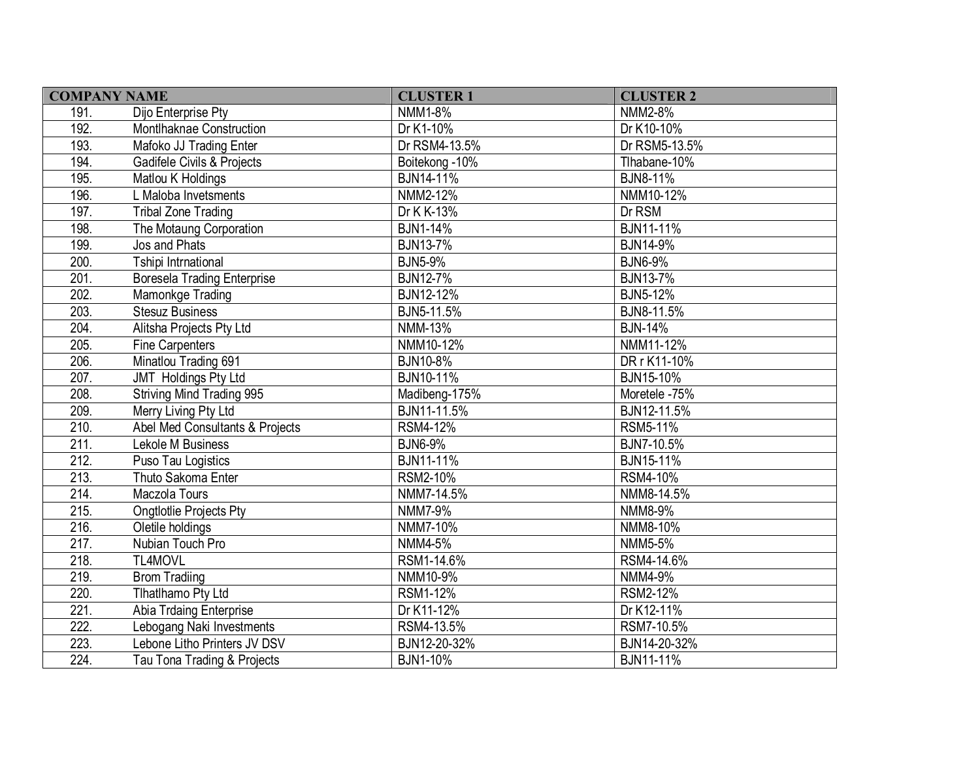| <b>COMPANY NAME</b> |                                    | <b>CLUSTER 1</b> | <b>CLUSTER 2</b> |
|---------------------|------------------------------------|------------------|------------------|
| 191.                | Dijo Enterprise Pty                | <b>NMM1-8%</b>   | NMM2-8%          |
| 192.                | Montlhaknae Construction           | Dr K1-10%        | Dr K10-10%       |
| 193.                | Mafoko JJ Trading Enter            | Dr RSM4-13.5%    | Dr RSM5-13.5%    |
| 194.                | Gadifele Civils & Projects         | Boitekong - 10%  | Tlhabane-10%     |
| 195.                | Matlou K Holdings                  | BJN14-11%        | <b>BJN8-11%</b>  |
| 196.                | L Maloba Invetsments               | NMM2-12%         | NMM10-12%        |
| 197.                | <b>Tribal Zone Trading</b>         | Dr K K-13%       | Dr RSM           |
| 198.                | The Motaung Corporation            | BJN1-14%         | BJN11-11%        |
| 199.                | Jos and Phats                      | <b>BJN13-7%</b>  | BJN14-9%         |
| 200.                | Tshipi Intrnational                | <b>BJN5-9%</b>   | <b>BJN6-9%</b>   |
| 201.                | <b>Boresela Trading Enterprise</b> | <b>BJN12-7%</b>  | <b>BJN13-7%</b>  |
| 202.                | Mamonkge Trading                   | BJN12-12%        | <b>BJN5-12%</b>  |
| 203.                | <b>Stesuz Business</b>             | BJN5-11.5%       | BJN8-11.5%       |
| 204.                | Alitsha Projects Pty Ltd           | NMM-13%          | <b>BJN-14%</b>   |
| 205.                | <b>Fine Carpenters</b>             | NMM10-12%        | NMM11-12%        |
| 206.                | Minatlou Trading 691               | BJN10-8%         | DR r K11-10%     |
| 207.                | JMT Holdings Pty Ltd               | BJN10-11%        | BJN15-10%        |
| 208.                | <b>Striving Mind Trading 995</b>   | Madibeng-175%    | Moretele -75%    |
| 209.                | Merry Living Pty Ltd               | BJN11-11.5%      | BJN12-11.5%      |
| 210.                | Abel Med Consultants & Projects    | <b>RSM4-12%</b>  | RSM5-11%         |
| 211.                | Lekole M Business                  | <b>BJN6-9%</b>   | BJN7-10.5%       |
| 212.                | Puso Tau Logistics                 | BJN11-11%        | BJN15-11%        |
| 213.                | Thuto Sakoma Enter                 | RSM2-10%         | RSM4-10%         |
| 214.                | Maczola Tours                      | NMM7-14.5%       | NMM8-14.5%       |
| 215.                | <b>Ongtlotlie Projects Pty</b>     | <b>NMM7-9%</b>   | NMM8-9%          |
| 216.                | Oletile holdings                   | NMM7-10%         | NMM8-10%         |
| 217.                | Nubian Touch Pro                   | NMM4-5%          | NMM5-5%          |
| 218.                | TL4MOVL                            | RSM1-14.6%       | RSM4-14.6%       |
| 219.                | <b>Brom Tradiing</b>               | NMM10-9%         | NMM4-9%          |
| 220.                | Tlhatlhamo Pty Ltd                 | RSM1-12%         | RSM2-12%         |
| 221.                | Abia Trdaing Enterprise            | Dr K11-12%       | Dr K12-11%       |
| 222.                | Lebogang Naki Investments          | RSM4-13.5%       | RSM7-10.5%       |
| 223.                | Lebone Litho Printers JV DSV       | BJN12-20-32%     | BJN14-20-32%     |
| 224.                | Tau Tona Trading & Projects        | BJN1-10%         | BJN11-11%        |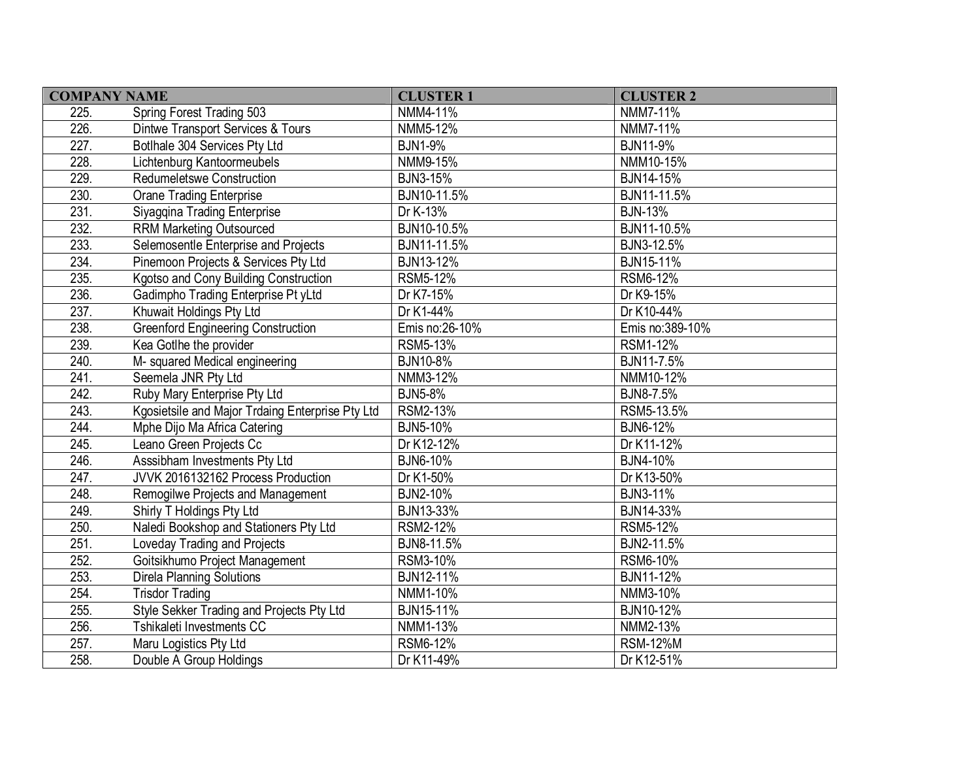| <b>COMPANY NAME</b> |                                                  | <b>CLUSTER 1</b> | <b>CLUSTER 2</b> |
|---------------------|--------------------------------------------------|------------------|------------------|
| 225.                | Spring Forest Trading 503                        | NMM4-11%         | NMM7-11%         |
| 226.                | Dintwe Transport Services & Tours                | NMM5-12%         | NMM7-11%         |
| 227.                | Botlhale 304 Services Pty Ltd                    | <b>BJN1-9%</b>   | <b>BJN11-9%</b>  |
| 228.                | Lichtenburg Kantoormeubels                       | NMM9-15%         | NMM10-15%        |
| 229.                | Redumeletswe Construction                        | <b>BJN3-15%</b>  | BJN14-15%        |
| 230.                | <b>Orane Trading Enterprise</b>                  | BJN10-11.5%      | BJN11-11.5%      |
| 231.                | Siyagqina Trading Enterprise                     | Dr K-13%         | <b>BJN-13%</b>   |
| 232.                | <b>RRM Marketing Outsourced</b>                  | BJN10-10.5%      | BJN11-10.5%      |
| 233.                | Selemosentle Enterprise and Projects             | BJN11-11.5%      | BJN3-12.5%       |
| 234.                | Pinemoon Projects & Services Pty Ltd             | BJN13-12%        | BJN15-11%        |
| 235.                | Kgotso and Cony Building Construction            | RSM5-12%         | RSM6-12%         |
| 236.                | Gadimpho Trading Enterprise Pt yLtd              | Dr K7-15%        | Dr K9-15%        |
| 237.                | Khuwait Holdings Pty Ltd                         | Dr K1-44%        | Dr K10-44%       |
| 238.                | <b>Greenford Engineering Construction</b>        | Emis no:26-10%   | Emis no:389-10%  |
| 239.                | Kea Gotlhe the provider                          | <b>RSM5-13%</b>  | <b>RSM1-12%</b>  |
| 240.                | M- squared Medical engineering                   | BJN10-8%         | BJN11-7.5%       |
| 241.                | Seemela JNR Pty Ltd                              | NMM3-12%         | NMM10-12%        |
| 242.                | Ruby Mary Enterprise Pty Ltd                     | <b>BJN5-8%</b>   | BJN8-7.5%        |
| 243.                | Kgosietsile and Major Trdaing Enterprise Pty Ltd | RSM2-13%         | RSM5-13.5%       |
| 244.                | Mphe Dijo Ma Africa Catering                     | BJN5-10%         | <b>BJN6-12%</b>  |
| 245.                | Leano Green Projects Cc                          | Dr K12-12%       | Dr K11-12%       |
| 246.                | Asssibham Investments Pty Ltd                    | BJN6-10%         | BJN4-10%         |
| 247.                | JVVK 2016132162 Process Production               | Dr K1-50%        | Dr K13-50%       |
| 248.                | Remogilwe Projects and Management                | BJN2-10%         | <b>BJN3-11%</b>  |
| 249.                | Shirly T Holdings Pty Ltd                        | BJN13-33%        | BJN14-33%        |
| 250.                | Naledi Bookshop and Stationers Pty Ltd           | RSM2-12%         | RSM5-12%         |
| 251.                | Loveday Trading and Projects                     | BJN8-11.5%       | BJN2-11.5%       |
| 252.                | Goitsikhumo Project Management                   | RSM3-10%         | RSM6-10%         |
| 253.                | Direla Planning Solutions                        | BJN12-11%        | BJN11-12%        |
| 254.                | <b>Trisdor Trading</b>                           | NMM1-10%         | NMM3-10%         |
| 255.                | Style Sekker Trading and Projects Pty Ltd        | BJN15-11%        | BJN10-12%        |
| 256.                | Tshikaleti Investments CC                        | NMM1-13%         | NMM2-13%         |
| 257.                | Maru Logistics Pty Ltd                           | RSM6-12%         | <b>RSM-12%M</b>  |
| 258.                | Double A Group Holdings                          | Dr K11-49%       | Dr K12-51%       |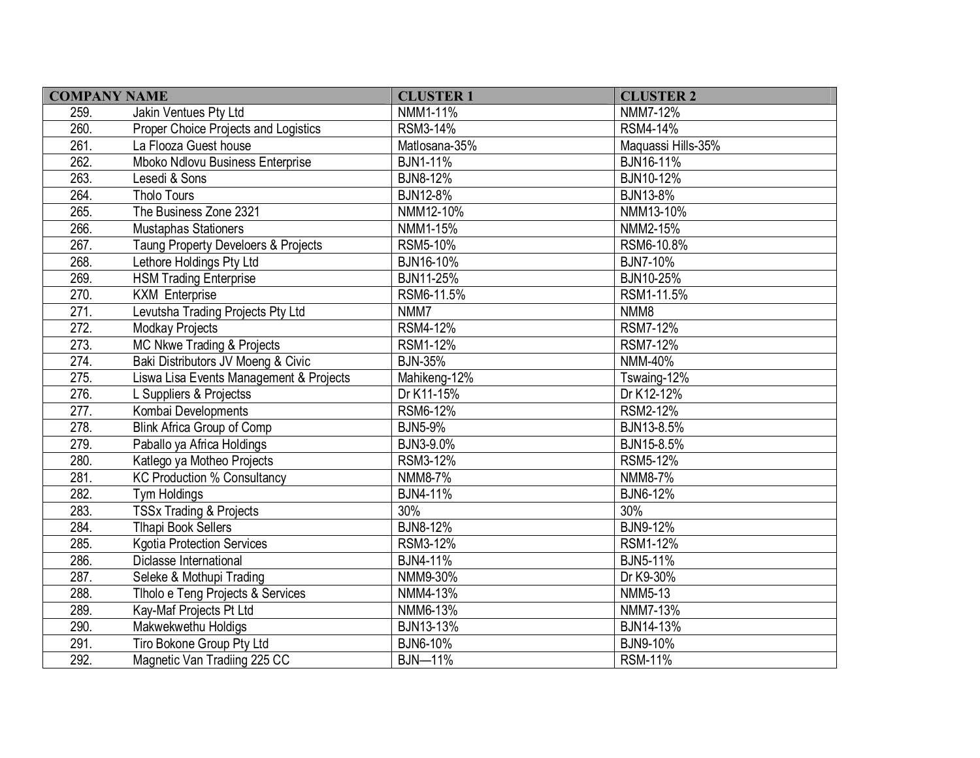| <b>COMPANY NAME</b> |                                         | <b>CLUSTER 1</b> | <b>CLUSTER 2</b>   |
|---------------------|-----------------------------------------|------------------|--------------------|
| 259.                | Jakin Ventues Pty Ltd                   | NMM1-11%         | NMM7-12%           |
| 260.                | Proper Choice Projects and Logistics    | RSM3-14%         | RSM4-14%           |
| 261.                | La Flooza Guest house                   | Matlosana-35%    | Maquassi Hills-35% |
| 262.                | Mboko Ndlovu Business Enterprise        | <b>BJN1-11%</b>  | BJN16-11%          |
| 263.                | Lesedi & Sons                           | <b>BJN8-12%</b>  | BJN10-12%          |
| 264.                | <b>Tholo Tours</b>                      | <b>BJN12-8%</b>  | BJN13-8%           |
| 265.                | The Business Zone 2321                  | NMM12-10%        | NMM13-10%          |
| 266.                | Mustaphas Stationers                    | NMM1-15%         | NMM2-15%           |
| 267.                | Taung Property Develoers & Projects     | RSM5-10%         | RSM6-10.8%         |
| 268.                | Lethore Holdings Pty Ltd                | BJN16-10%        | <b>BJN7-10%</b>    |
| 269.                | <b>HSM Trading Enterprise</b>           | BJN11-25%        | BJN10-25%          |
| 270.                | <b>KXM Enterprise</b>                   | RSM6-11.5%       | RSM1-11.5%         |
| 271.                | Levutsha Trading Projects Pty Ltd       | NMM7             | NMM8               |
| 272.                | Modkay Projects                         | RSM4-12%         | <b>RSM7-12%</b>    |
| 273.                | MC Nkwe Trading & Projects              | RSM1-12%         | <b>RSM7-12%</b>    |
| 274.                | Baki Distributors JV Moeng & Civic      | <b>BJN-35%</b>   | NMM-40%            |
| 275.                | Liswa Lisa Events Management & Projects | Mahikeng-12%     | Tswaing-12%        |
| 276.                | L Suppliers & Projectss                 | Dr K11-15%       | Dr K12-12%         |
| 277.                | Kombai Developments                     | RSM6-12%         | RSM2-12%           |
| 278.                | <b>Blink Africa Group of Comp</b>       | <b>BJN5-9%</b>   | BJN13-8.5%         |
| 279.                | Paballo ya Africa Holdings              | BJN3-9.0%        | BJN15-8.5%         |
| 280.                | Katlego ya Motheo Projects              | RSM3-12%         | RSM5-12%           |
| 281.                | <b>KC Production % Consultancy</b>      | NMM8-7%          | NMM8-7%            |
| 282.                | Tym Holdings                            | BJN4-11%         | BJN6-12%           |
| 283.                | <b>TSSx Trading &amp; Projects</b>      | 30%              | 30%                |
| 284.                | <b>Tlhapi Book Sellers</b>              | <b>BJN8-12%</b>  | <b>BJN9-12%</b>    |
| 285.                | <b>Kgotia Protection Services</b>       | RSM3-12%         | <b>RSM1-12%</b>    |
| 286.                | Diclasse International                  | <b>BJN4-11%</b>  | <b>BJN5-11%</b>    |
| 287.                | Seleke & Mothupi Trading                | NMM9-30%         | Dr K9-30%          |
| 288.                | Tlholo e Teng Projects & Services       | NMM4-13%         | NMM5-13            |
| 289.                | Kay-Maf Projects Pt Ltd                 | NMM6-13%         | NMM7-13%           |
| 290.                | Makwekwethu Holdigs                     | BJN13-13%        | BJN14-13%          |
| 291.                | Tiro Bokone Group Pty Ltd               | <b>BJN6-10%</b>  | BJN9-10%           |
| 292.                | Magnetic Van Tradiing 225 CC            | <b>BJN-11%</b>   | <b>RSM-11%</b>     |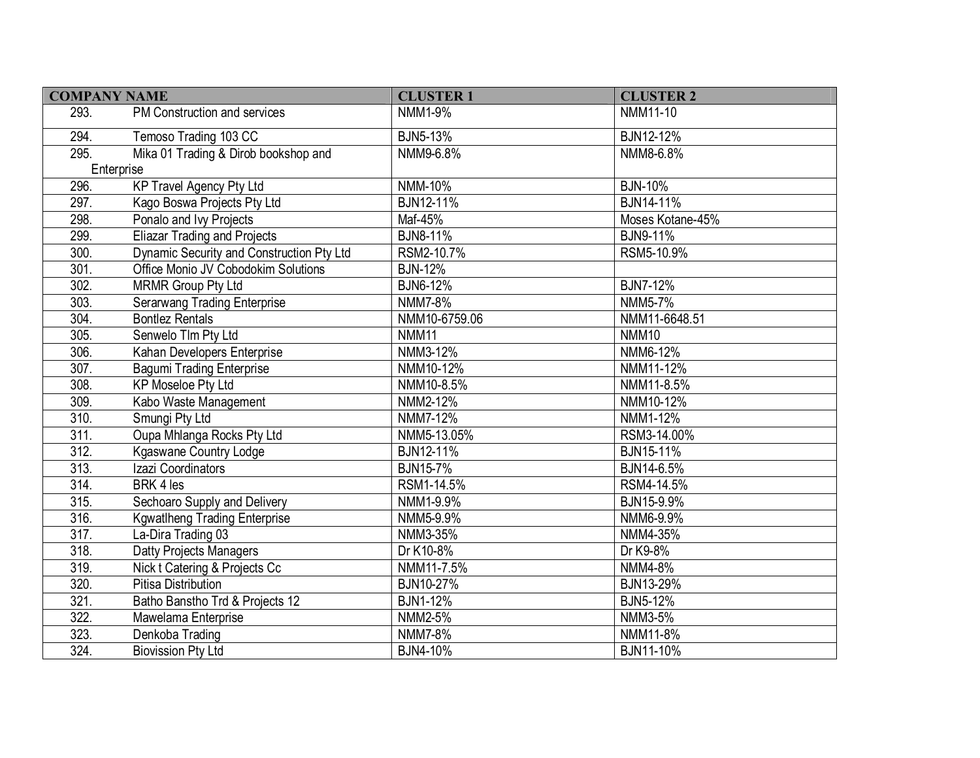| <b>COMPANY NAME</b> |                                           | <b>CLUSTER 1</b> | <b>CLUSTER 2</b>  |
|---------------------|-------------------------------------------|------------------|-------------------|
| 293.                | PM Construction and services              | NMM1-9%          | NMM11-10          |
| 294.                | Temoso Trading 103 CC                     | <b>BJN5-13%</b>  | BJN12-12%         |
| 295.                | Mika 01 Trading & Dirob bookshop and      | NMM9-6.8%        | NMM8-6.8%         |
|                     | Enterprise                                |                  |                   |
| 296.                | <b>KP Travel Agency Pty Ltd</b>           | NMM-10%          | <b>BJN-10%</b>    |
| 297.                | Kago Boswa Projects Pty Ltd               | <b>BJN12-11%</b> | <b>BJN14-11%</b>  |
| 298.                | Ponalo and Ivy Projects                   | Maf-45%          | Moses Kotane-45%  |
| 299.                | <b>Eliazar Trading and Projects</b>       | <b>BJN8-11%</b>  | <b>BJN9-11%</b>   |
| 300.                | Dynamic Security and Construction Pty Ltd | RSM2-10.7%       | RSM5-10.9%        |
| 301.                | Office Monio JV Cobodokim Solutions       | <b>BJN-12%</b>   |                   |
| 302.                | <b>MRMR Group Pty Ltd</b>                 | <b>BJN6-12%</b>  | <b>BJN7-12%</b>   |
| 303.                | <b>Serarwang Trading Enterprise</b>       | <b>NMM7-8%</b>   | NMM5-7%           |
| 304.                | <b>Bontlez Rentals</b>                    | NMM10-6759.06    | NMM11-6648.51     |
| 305.                | Senwelo TIm Pty Ltd                       | <b>NMM11</b>     | NMM <sub>10</sub> |
| 306.                | Kahan Developers Enterprise               | NMM3-12%         | NMM6-12%          |
| 307.                | <b>Bagumi Trading Enterprise</b>          | NMM10-12%        | NMM11-12%         |
| 308.                | <b>KP Moseloe Pty Ltd</b>                 | NMM10-8.5%       | NMM11-8.5%        |
| 309.                | Kabo Waste Management                     | NMM2-12%         | NMM10-12%         |
| 310.                | Smungi Pty Ltd                            | NMM7-12%         | NMM1-12%          |
| 311.                | Oupa Mhlanga Rocks Pty Ltd                | NMM5-13.05%      | RSM3-14.00%       |
| 312.                | Kgaswane Country Lodge                    | BJN12-11%        | BJN15-11%         |
| 313.                | Izazi Coordinators                        | <b>BJN15-7%</b>  | BJN14-6.5%        |
| 314.                | BRK 4 les                                 | RSM1-14.5%       | RSM4-14.5%        |
| 315.                | Sechoaro Supply and Delivery              | NMM1-9.9%        | BJN15-9.9%        |
| 316.                | <b>Kgwatlheng Trading Enterprise</b>      | NMM5-9.9%        | NMM6-9.9%         |
| $\overline{317}$ .  | La-Dira Trading 03                        | NMM3-35%         | NMM4-35%          |
| 318.                | <b>Datty Projects Managers</b>            | Dr K10-8%        | Dr K9-8%          |
| 319.                | Nick t Catering & Projects Cc             | NMM11-7.5%       | NMM4-8%           |
| 320.                | <b>Pitisa Distribution</b>                | <b>BJN10-27%</b> | <b>BJN13-29%</b>  |
| $\overline{321}$ .  | Batho Banstho Trd & Projects 12           | <b>BJN1-12%</b>  | <b>BJN5-12%</b>   |
| 322.                | Mawelama Enterprise                       | NMM2-5%          | NMM3-5%           |
| 323.                | Denkoba Trading                           | NMM7-8%          | NMM11-8%          |
| 324.                | <b>Biovission Pty Ltd</b>                 | BJN4-10%         | BJN11-10%         |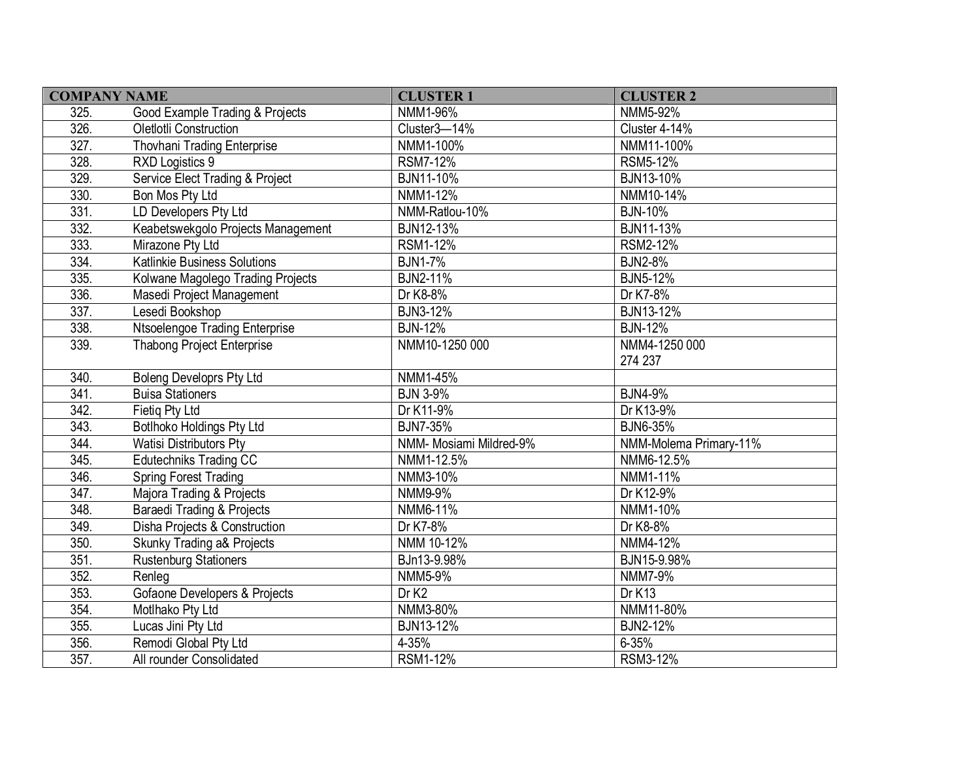| <b>COMPANY NAME</b> |                                          | <b>CLUSTER 1</b>        | <b>CLUSTER 2</b>       |
|---------------------|------------------------------------------|-------------------------|------------------------|
| 325.                | Good Example Trading & Projects          | NMM1-96%                | NMM5-92%               |
| 326.                | Oletlotli Construction                   | Cluster3-14%            | Cluster 4-14%          |
| 327.                | Thovhani Trading Enterprise              | NMM1-100%               | NMM11-100%             |
| 328.                | RXD Logistics 9                          | RSM7-12%                | <b>RSM5-12%</b>        |
| 329.                | Service Elect Trading & Project          | BJN11-10%               | BJN13-10%              |
| 330.                | Bon Mos Pty Ltd                          | NMM1-12%                | NMM10-14%              |
| 331.                | LD Developers Pty Ltd                    | NMM-Ratlou-10%          | <b>BJN-10%</b>         |
| 332.                | Keabetswekgolo Projects Management       | BJN12-13%               | BJN11-13%              |
| 333.                | Mirazone Pty Ltd                         | RSM1-12%                | RSM2-12%               |
| 334.                | Katlinkie Business Solutions             | <b>BJN1-7%</b>          | <b>BJN2-8%</b>         |
| 335.                | Kolwane Magolego Trading Projects        | <b>BJN2-11%</b>         | <b>BJN5-12%</b>        |
| 336.                | Masedi Project Management                | Dr K8-8%                | Dr K7-8%               |
| 337.                | Lesedi Bookshop                          | <b>BJN3-12%</b>         | BJN13-12%              |
| 338.                | Ntsoelengoe Trading Enterprise           | <b>BJN-12%</b>          | <b>BJN-12%</b>         |
| 339.                | <b>Thabong Project Enterprise</b>        | NMM10-1250 000          | NMM4-1250 000          |
|                     |                                          |                         | 274 237                |
| 340.                | <b>Boleng Developrs Pty Ltd</b>          | NMM1-45%                |                        |
| 341.                | <b>Buisa Stationers</b>                  | <b>BJN 3-9%</b>         | <b>BJN4-9%</b>         |
| 342.                | Fietig Pty Ltd                           | Dr K11-9%               | Dr K13-9%              |
| 343.                | Botlhoko Holdings Pty Ltd                | <b>BJN7-35%</b>         | <b>BJN6-35%</b>        |
| 344.                | <b>Watisi Distributors Pty</b>           | NMM- Mosiami Mildred-9% | NMM-Molema Primary-11% |
| 345.                | <b>Edutechniks Trading CC</b>            | NMM1-12.5%              | NMM6-12.5%             |
| 346.                | <b>Spring Forest Trading</b>             | NMM3-10%                | NMM1-11%               |
| 347.                | Majora Trading & Projects                | NMM9-9%                 | Dr K12-9%              |
| 348.                | Baraedi Trading & Projects               | NMM6-11%                | NMM1-10%               |
| 349.                | Disha Projects & Construction            | Dr K7-8%                | Dr K8-8%               |
| 350.                | Skunky Trading a& Projects               | NMM 10-12%              | NMM4-12%               |
| 351.                | <b>Rustenburg Stationers</b>             | BJn13-9.98%             | BJN15-9.98%            |
| 352.                | Renleg                                   | <b>NMM5-9%</b>          | NMM7-9%                |
| 353.                | <b>Gofaone Developers &amp; Projects</b> | Dr K <sub>2</sub>       | Dr K13                 |
| 354.                | Motlhako Pty Ltd                         | NMM3-80%                | NMM11-80%              |
| 355.                | Lucas Jini Pty Ltd                       | BJN13-12%               | <b>BJN2-12%</b>        |
| 356.                | Remodi Global Pty Ltd                    | 4-35%                   | $6 - 35%$              |
| 357.                | All rounder Consolidated                 | <b>RSM1-12%</b>         | <b>RSM3-12%</b>        |